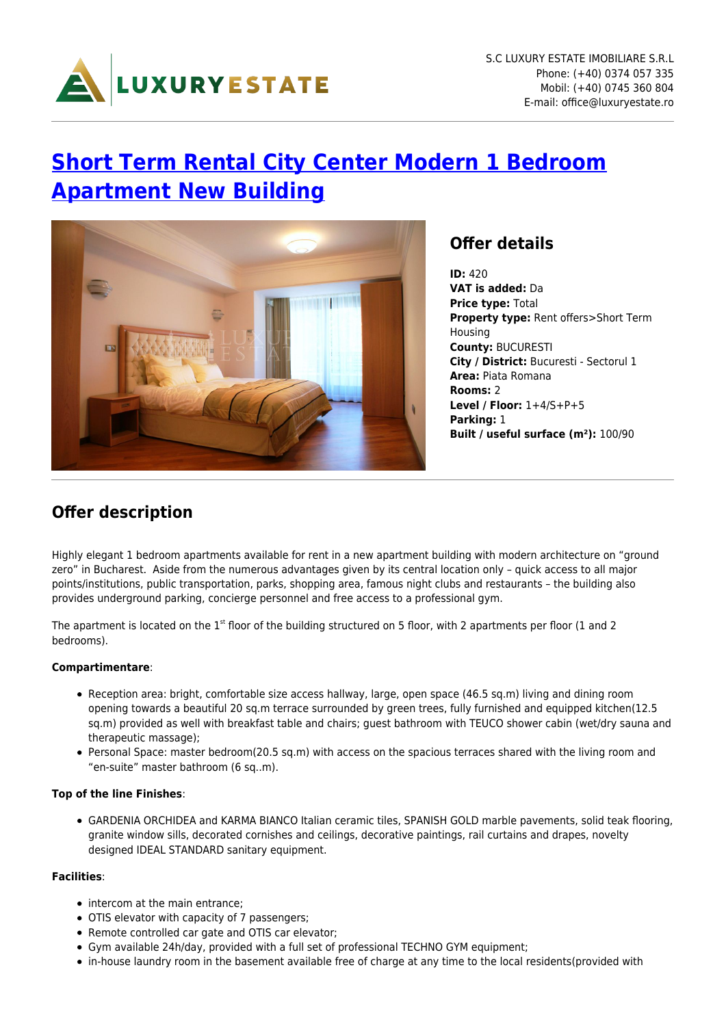

# **[Short Term Rental City Center Modern 1 Bedroom](https://www.luxuryestate.ro/en/oferte/inchiriere-termen-scurt-apartament-modern-2-camere-imobil-nou-centrul-capitalei/) [Apartment New Building](https://www.luxuryestate.ro/en/oferte/inchiriere-termen-scurt-apartament-modern-2-camere-imobil-nou-centrul-capitalei/)**



### **Offer details**

**ID:** 420 **VAT is added:** Da **Price type:** Total **Property type:** Rent offers>Short Term Housing **County:** BUCURESTI **City / District:** Bucuresti - Sectorul 1 **Area:** Piata Romana **Rooms:** 2 **Level / Floor:** 1+4/S+P+5 **Parking:** 1 **Built / useful surface (m²):** 100/90

### **Offer description**

Highly elegant 1 bedroom apartments available for rent in a new apartment building with modern architecture on "ground zero" in Bucharest. Aside from the numerous advantages given by its central location only – quick access to all major points/institutions, public transportation, parks, shopping area, famous night clubs and restaurants – the building also provides underground parking, concierge personnel and free access to a professional gym.

The apartment is located on the  $1<sup>st</sup>$  floor of the building structured on 5 floor, with 2 apartments per floor (1 and 2 bedrooms).

#### **Compartimentare**:

- Reception area: bright, comfortable size access hallway, large, open space (46.5 sq.m) living and dining room opening towards a beautiful 20 sq.m terrace surrounded by green trees, fully furnished and equipped kitchen(12.5 sq.m) provided as well with breakfast table and chairs; guest bathroom with TEUCO shower cabin (wet/dry sauna and therapeutic massage);
- Personal Space: master bedroom(20.5 sq.m) with access on the spacious terraces shared with the living room and "en-suite" master bathroom (6 sq..m).

#### **Top of the line Finishes**:

GARDENIA ORCHIDEA and KARMA BIANCO Italian ceramic tiles, SPANISH GOLD marble pavements, solid teak flooring, granite window sills, decorated cornishes and ceilings, decorative paintings, rail curtains and drapes, novelty designed IDEAL STANDARD sanitary equipment.

#### **Facilities**:

- intercom at the main entrance:
- OTIS elevator with capacity of 7 passengers;
- Remote controlled car gate and OTIS car elevator;
- Gym available 24h/day, provided with a full set of professional TECHNO GYM equipment;
- in-house laundry room in the basement available free of charge at any time to the local residents(provided with